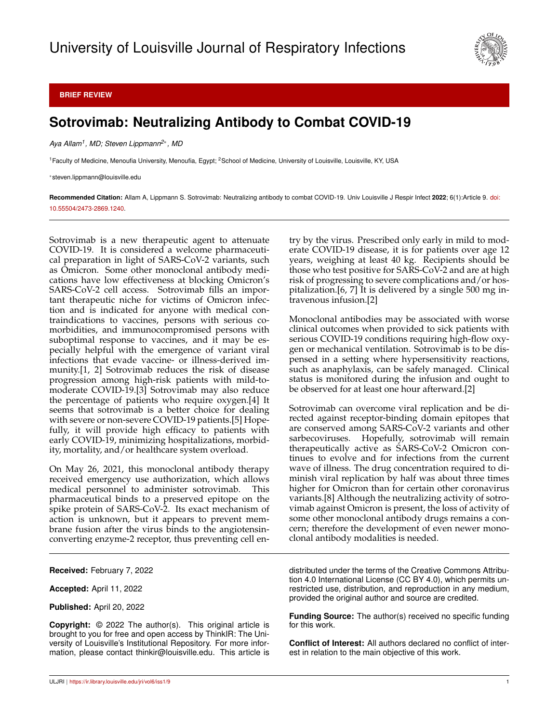

**BRIEF REVIEW**

## **Sotrovimab: Neutralizing Antibody to Combat COVID-19**

*Aya Allam<sup>1</sup> , MD; Steven Lippmann2*<sup>∗</sup> *, MD*

<sup>1</sup> Faculty of Medicine, Menoufia University, Menoufia, Egypt; <sup>2</sup>School of Medicine, University of Louisville, Louisville, KY, USA

<sup>∗</sup>steven.lippmann@louisville.edu

**Recommended Citation:** Allam A, Lippmann S. Sotrovimab: Neutralizing antibody to combat COVID-19. Univ Louisville J Respir Infect **2022**; 6(1):Article 9. [doi:](http://dx.doi.org/10.55504/2473-2869.\submissionno ) [10.55504/2473-2869.1240.](http://dx.doi.org/10.55504/2473-2869.\submissionno )

Sotrovimab is a new therapeutic agent to attenuate COVID-19. It is considered a welcome pharmaceutical preparation in light of SARS-CoV-2 variants, such as Omicron. Some other monoclonal antibody medications have low effectiveness at blocking Omicron's SARS-CoV-2 cell access. Sotrovimab fills an important therapeutic niche for victims of Omicron infection and is indicated for anyone with medical contraindications to vaccines, persons with serious comorbidities, and immunocompromised persons with suboptimal response to vaccines, and it may be especially helpful with the emergence of variant viral infections that evade vaccine- or illness-derived immunity.[1, 2] Sotrovimab reduces the risk of disease progression among high-risk patients with mild-tomoderate COVID-19.[3] Sotrovimab may also reduce the percentage of patients who require oxygen.[4] It seems that sotrovimab is a better choice for dealing with severe or non-severe COVID-19 patients.[5] Hopefully, it will provide high efficacy to patients with early COVID-19, minimizing hospitalizations, morbidity, mortality, and/or healthcare system overload.

On May 26, 2021, this monoclonal antibody therapy received emergency use authorization, which allows medical personnel to administer sotrovimab. This pharmaceutical binds to a preserved epitope on the spike protein of SARS-CoV-2. Its exact mechanism of action is unknown, but it appears to prevent membrane fusion after the virus binds to the angiotensinconverting enzyme-2 receptor, thus preventing cell en-

**Received:** February 7, 2022

**Accepted:** April 11, 2022

**Published:** April 20, 2022

**Copyright:** © 2022 The author(s). This original article is brought to you for free and open access by ThinkIR: The University of Louisville's Institutional Repository. For more information, please contact thinkir@louisville.edu. This article is try by the virus. Prescribed only early in mild to moderate COVID-19 disease, it is for patients over age 12 years, weighing at least 40 kg. Recipients should be those who test positive for SARS-CoV-2 and are at high risk of progressing to severe complications and/or hospitalization.[6, 7] It is delivered by a single 500 mg intravenous infusion.[2]

Monoclonal antibodies may be associated with worse clinical outcomes when provided to sick patients with serious COVID-19 conditions requiring high-flow oxygen or mechanical ventilation. Sotrovimab is to be dispensed in a setting where hypersensitivity reactions, such as anaphylaxis, can be safely managed. Clinical status is monitored during the infusion and ought to be observed for at least one hour afterward.[2]

Sotrovimab can overcome viral replication and be directed against receptor-binding domain epitopes that are conserved among SARS-CoV-2 variants and other sarbecoviruses. Hopefully, sotrovimab will remain therapeutically active as SARS-CoV-2 Omicron continues to evolve and for infections from the current wave of illness. The drug concentration required to diminish viral replication by half was about three times higher for Omicron than for certain other coronavirus variants.[8] Although the neutralizing activity of sotrovimab against Omicron is present, the loss of activity of some other monoclonal antibody drugs remains a concern; therefore the development of even newer monoclonal antibody modalities is needed.

distributed under the terms of the Creative Commons Attribution 4.0 International License (CC BY 4.0), which permits unrestricted use, distribution, and reproduction in any medium, provided the original author and source are credited.

**Funding Source:** The author(s) received no specific funding for this work.

**Conflict of Interest:** All authors declared no conflict of interest in relation to the main objective of this work.